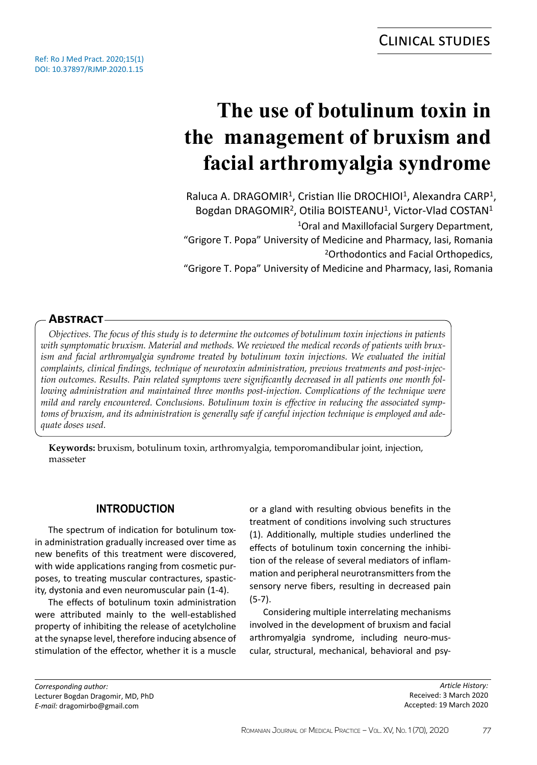# **The use of botulinum toxin in the management of bruxism and facial arthromyalgia syndrome**

Raluca A. DRAGOMIR<sup>1</sup>, Cristian Ilie DROCHIOI<sup>1</sup>, Alexandra CARP<sup>1</sup>, Bogdan DRAGOMIR<sup>2</sup>, Otilia BOISTEANU<sup>1</sup>, Victor-Vlad COSTAN<sup>1</sup> <sup>1</sup>Oral and Maxillofacial Surgery Department, "Grigore T. Popa" University of Medicine and Pharmacy, Iasi, Romania <sup>2</sup>Orthodontics and Facial Orthopedics, "Grigore T. Popa" University of Medicine and Pharmacy, Iasi, Romania

# **Abstract**

*Objectives. The focus of this study is to determine the outcomes of botulinum toxin injections in patients with symptomatic bruxism. Material and methods. We reviewed the medical records of patients with brux*ism and facial arthromyalgia syndrome treated by botulinum toxin injections. We evaluated the initial *complaints, clinical findings, technique of neurotoxin administration, previous treatments and post-injection outcomes. Results. Pain related symptoms were significantly decreased in all patients one month following administration and maintained three months post-injection. Complications of the technique were mild and rarely encountered. Conclusions. Botulinum toxin is effective in reducing the associated symptoms of bruxism, and its administration is generally safe if careful injection technique is employed and adequate doses used.*

**Keywords:** bruxism, botulinum toxin, arthromyalgia, temporomandibular joint, injection, masseter

# **INTRODUCTION**

The spectrum of indication for botulinum toxin administration gradually increased over time as new benefits of this treatment were discovered, with wide applications ranging from cosmetic purposes, to treating muscular contractures, spasticity, dystonia and even neuromuscular pain (1-4).

The effects of botulinum toxin administration were attributed mainly to the well-established property of inhibiting the release of acetylcholine at the synapse level, therefore inducing absence of stimulation of the effector, whether it is a muscle

or a gland with resulting obvious benefits in the treatment of conditions involving such structures (1). Additionally, multiple studies underlined the effects of botulinum toxin concerning the inhibition of the release of several mediators of inflammation and peripheral neurotransmitters from the sensory nerve fibers, resulting in decreased pain (5-7).

Considering multiple interrelating mechanisms involved in the development of bruxism and facial arthromyalgia syndrome, including neuro-muscular, structural, mechanical, behavioral and psy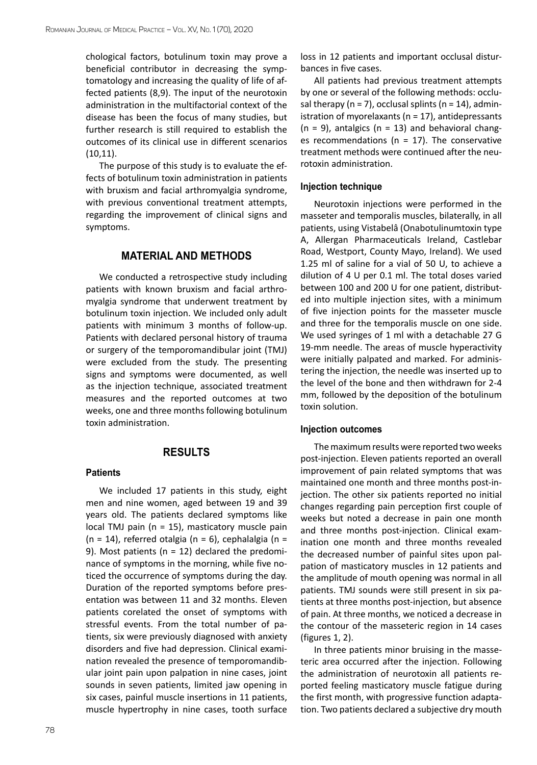chological factors, botulinum toxin may prove a beneficial contributor in decreasing the symptomatology and increasing the quality of life of affected patients (8,9). The input of the neurotoxin administration in the multifactorial context of the disease has been the focus of many studies, but further research is still required to establish the outcomes of its clinical use in different scenarios (10,11).

The purpose of this study is to evaluate the effects of botulinum toxin administration in patients with bruxism and facial arthromyalgia syndrome, with previous conventional treatment attempts, regarding the improvement of clinical signs and symptoms.

## **MATERIAL AND METHODS**

We conducted a retrospective study including patients with known bruxism and facial arthromyalgia syndrome that underwent treatment by botulinum toxin injection. We included only adult patients with minimum 3 months of follow-up. Patients with declared personal history of trauma or surgery of the temporomandibular joint (TMJ) were excluded from the study. The presenting signs and symptoms were documented, as well as the injection technique, associated treatment measures and the reported outcomes at two weeks, one and three months following botulinum toxin administration.

# **RESULTS**

#### **Patients**

We included 17 patients in this study, eight men and nine women, aged between 19 and 39 years old. The patients declared symptoms like local TMJ pain (n = 15), masticatory muscle pain (n = 14), referred otalgia (n = 6), cephalalgia (n = 9). Most patients ( $n = 12$ ) declared the predominance of symptoms in the morning, while five noticed the occurrence of symptoms during the day. Duration of the reported symptoms before presentation was between 11 and 32 months. Eleven patients corelated the onset of symptoms with stressful events. From the total number of patients, six were previously diagnosed with anxiety disorders and five had depression. Clinical examination revealed the presence of temporomandibular joint pain upon palpation in nine cases, joint sounds in seven patients, limited jaw opening in six cases, painful muscle insertions in 11 patients, muscle hypertrophy in nine cases, tooth surface loss in 12 patients and important occlusal disturbances in five cases.

All patients had previous treatment attempts by one or several of the following methods: occlusal therapy ( $n = 7$ ), occlusal splints ( $n = 14$ ), administration of myorelaxants ( $n = 17$ ), antidepressants  $(n = 9)$ , antalgics  $(n = 13)$  and behavioral changes recommendations ( $n = 17$ ). The conservative treatment methods were continued after the neurotoxin administration.

#### **Injection technique**

Neurotoxin injections were performed in the masseter and temporalis muscles, bilaterally, in all patients, using Vistabelâ (Onabotulinumtoxin type A, Allergan Pharmaceuticals Ireland, Castlebar Road, Westport, County Mayo, Ireland). We used 1.25 ml of saline for a vial of 50 U, to achieve a dilution of 4 U per 0.1 ml. The total doses varied between 100 and 200 U for one patient, distributed into multiple injection sites, with a minimum of five injection points for the masseter muscle and three for the temporalis muscle on one side. We used syringes of 1 ml with a detachable 27 G 19-mm needle. The areas of muscle hyperactivity were initially palpated and marked. For administering the injection, the needle was inserted up to the level of the bone and then withdrawn for 2-4 mm, followed by the deposition of the botulinum toxin solution.

#### **Injection outcomes**

The maximum results were reported two weeks post-injection. Eleven patients reported an overall improvement of pain related symptoms that was maintained one month and three months post-injection. The other six patients reported no initial changes regarding pain perception first couple of weeks but noted a decrease in pain one month and three months post-injection. Clinical examination one month and three months revealed the decreased number of painful sites upon palpation of masticatory muscles in 12 patients and the amplitude of mouth opening was normal in all patients. TMJ sounds were still present in six patients at three months post-injection, but absence of pain. At three months, we noticed a decrease in the contour of the masseteric region in 14 cases (figures 1, 2).

In three patients minor bruising in the masseteric area occurred after the injection. Following the administration of neurotoxin all patients reported feeling masticatory muscle fatigue during the first month, with progressive function adaptation. Two patients declared a subjective dry mouth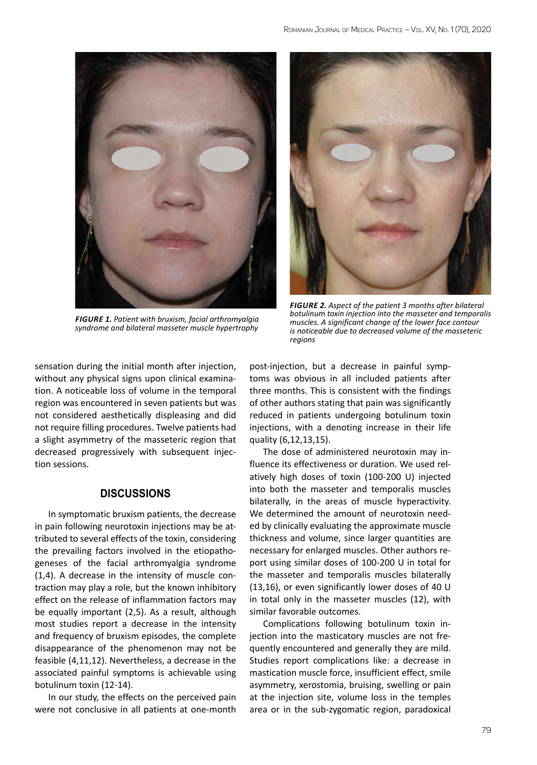

*Figure 1. Patient with bruxism, facial arthromyalgia syndrome and bilateral masseter muscle hypertrophy*



*Figure 2. Aspect of the patient 3 months after bilateral botulinum toxin injection into the masseter and temporalis muscles. A significant change of the lower face contour is noticeable due to decreased volume of the masseteric regions*

sensation during the initial month after injection, without any physical signs upon clinical examination. A noticeable loss of volume in the temporal region was encountered in seven patients but was not considered aesthetically displeasing and did not require filling procedures. Twelve patients had a slight asymmetry of the masseteric region that decreased progressively with subsequent injection sessions.

## **DISCUSSIONS**

In symptomatic bruxism patients, the decrease in pain following neurotoxin injections may be attributed to several effects of the toxin, considering the prevailing factors involved in the etiopathogeneses of the facial arthromyalgia syndrome (1,4). A decrease in the intensity of muscle contraction may play a role, but the known inhibitory effect on the release of inflammation factors may be equally important (2,5). As a result, although most studies report a decrease in the intensity and frequency of bruxism episodes, the complete disappearance of the phenomenon may not be feasible (4,11,12). Nevertheless, a decrease in the associated painful symptoms is achievable using botulinum toxin (12-14).

In our study, the effects on the perceived pain were not conclusive in all patients at one-month

post-injection, but a decrease in painful symptoms was obvious in all included patients after three months. This is consistent with the findings of other authors stating that pain was significantly reduced in patients undergoing botulinum toxin injections, with a denoting increase in their life quality (6,12,13,15).

The dose of administered neurotoxin may influence its effectiveness or duration. We used relatively high doses of toxin (100-200 U) injected into both the masseter and temporalis muscles bilaterally, in the areas of muscle hyperactivity. We determined the amount of neurotoxin needed by clinically evaluating the approximate muscle thickness and volume, since larger quantities are necessary for enlarged muscles. Other authors report using similar doses of 100-200 U in total for the masseter and temporalis muscles bilaterally (13,16), or even significantly lower doses of 40 U in total only in the masseter muscles (12), with similar favorable outcomes.

Complications following botulinum toxin injection into the masticatory muscles are not frequently encountered and generally they are mild. Studies report complications like: a decrease in mastication muscle force, insufficient effect, smile asymmetry, xerostomia, bruising, swelling or pain at the injection site, volume loss in the temples area or in the sub-zygomatic region, paradoxical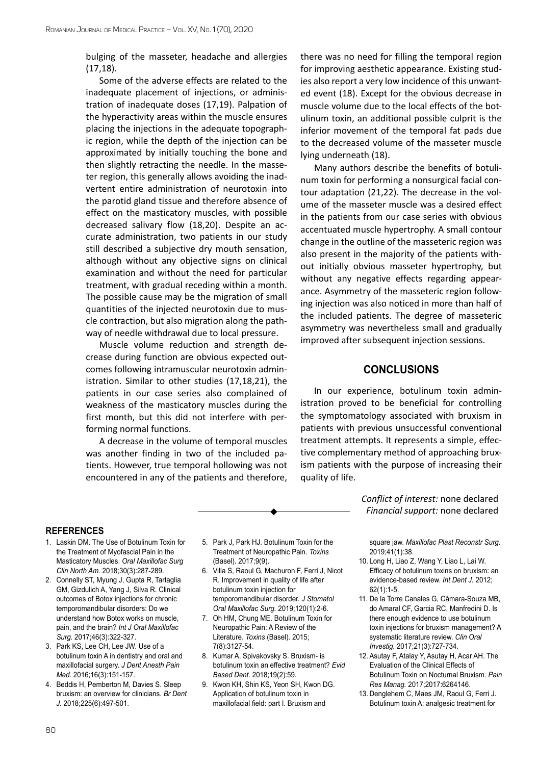bulging of the masseter, headache and allergies (17,18).

Some of the adverse effects are related to the inadequate placement of injections, or administration of inadequate doses (17,19). Palpation of the hyperactivity areas within the muscle ensures placing the injections in the adequate topographic region, while the depth of the injection can be approximated by initially touching the bone and then slightly retracting the needle. In the masseter region, this generally allows avoiding the inadvertent entire administration of neurotoxin into the parotid gland tissue and therefore absence of effect on the masticatory muscles, with possible decreased salivary flow (18,20). Despite an accurate administration, two patients in our study still described a subjective dry mouth sensation, although without any objective signs on clinical examination and without the need for particular treatment, with gradual receding within a month. The possible cause may be the migration of small quantities of the injected neurotoxin due to muscle contraction, but also migration along the pathway of needle withdrawal due to local pressure.

Muscle volume reduction and strength decrease during function are obvious expected outcomes following intramuscular neurotoxin administration. Similar to other studies (17,18,21), the patients in our case series also complained of weakness of the masticatory muscles during the first month, but this did not interfere with performing normal functions.

A decrease in the volume of temporal muscles was another finding in two of the included patients. However, true temporal hollowing was not encountered in any of the patients and therefore, there was no need for filling the temporal region for improving aesthetic appearance. Existing studies also report a very low incidence of this unwanted event (18). Except for the obvious decrease in muscle volume due to the local effects of the botulinum toxin, an additional possible culprit is the inferior movement of the temporal fat pads due to the decreased volume of the masseter muscle lying underneath (18).

Many authors describe the benefits of botulinum toxin for performing a nonsurgical facial contour adaptation (21,22). The decrease in the volume of the masseter muscle was a desired effect in the patients from our case series with obvious accentuated muscle hypertrophy. A small contour change in the outline of the masseteric region was also present in the majority of the patients without initially obvious masseter hypertrophy, but without any negative effects regarding appearance. Asymmetry of the masseteric region following injection was also noticed in more than half of the included patients. The degree of masseteric asymmetry was nevertheless small and gradually improved after subsequent injection sessions.

## **CONCLUSIONS**

In our experience, botulinum toxin administration proved to be beneficial for controlling the symptomatology associated with bruxism in patients with previous unsuccessful conventional treatment attempts. It represents a simple, effective complementary method of approaching bruxism patients with the purpose of increasing their quality of life.

## **references**

- 1. Laskin DM. The Use of Botulinum Toxin for the Treatment of Myofascial Pain in the Masticatory Muscles. *Oral Maxillofac Surg Clin North Am.* 2018;30(3):287-289.
- 2. Connelly ST, Myung J, Gupta R, Tartaglia GM, Gizdulich A, Yang J, Silva R. Clinical outcomes of Botox injections for chronic temporomandibular disorders: Do we understand how Botox works on muscle, pain, and the brain? *Int J Oral Maxillofac Surg.* 2017;46(3):322-327.
- 3. Park KS, Lee CH, Lee JW. Use of a botulinum toxin A in dentistry and oral and maxillofacial surgery. *J Dent Anesth Pain Med.* 2016;16(3):151-157.
- 4. Beddis H, Pemberton M, Davies S. Sleep bruxism: an overview for clinicians. *Br Dent J.* 2018;225(6):497-501.
- 5. Park J, Park HJ. Botulinum Toxin for the Treatment of Neuropathic Pain. *Toxins* (Basel). 2017;9(9).
- 6. Villa S, Raoul G, Machuron F, Ferri J, Nicot R. Improvement in quality of life after botulinum toxin injection for temporomandibular disorder. *J Stomatol Oral Maxillofac Surg.* 2019;120(1):2-6.
- 7. Oh HM, Chung ME. Botulinum Toxin for Neuropathic Pain: A Review of the Literature. *Toxins* (Basel). 2015; 7(8):3127-54.
- 8. Kumar A, Spivakovsky S. Bruxism- is botulinum toxin an effective treatment? *Evid Based Dent.* 2018;19(2):59.
- 9. Kwon KH, Shin KS, Yeon SH, Kwon DG. Application of botulinum toxin in maxillofacial field: part I. Bruxism and

*Conflict of interest:* none declared *Financial support:* none declared

square jaw. *Maxillofac Plast Reconstr Surg.* 2019;41(1):38.

- 10. Long H, Liao Z, Wang Y, Liao L, Lai W. Efficacy of botulinum toxins on bruxism: an evidence-based review. *Int Dent J.* 2012; 62(1):1-5.
- 11. De la Torre Canales G, Câmara-Souza MB, do Amaral CF, Garcia RC, Manfredini D. Is there enough evidence to use botulinum toxin injections for bruxism management? A systematic literature review. *Clin Oral Investig.* 2017;21(3):727-734.
- 12. Asutay F, Atalay Y, Asutay H, Acar AH. The Evaluation of the Clinical Effects of Botulinum Toxin on Nocturnal Bruxism. *Pain Res Manag.* 2017;2017:6264146.
- 13. Denglehem C, Maes JM, Raoul G, Ferri J. Botulinum toxin A: analgesic treatment for